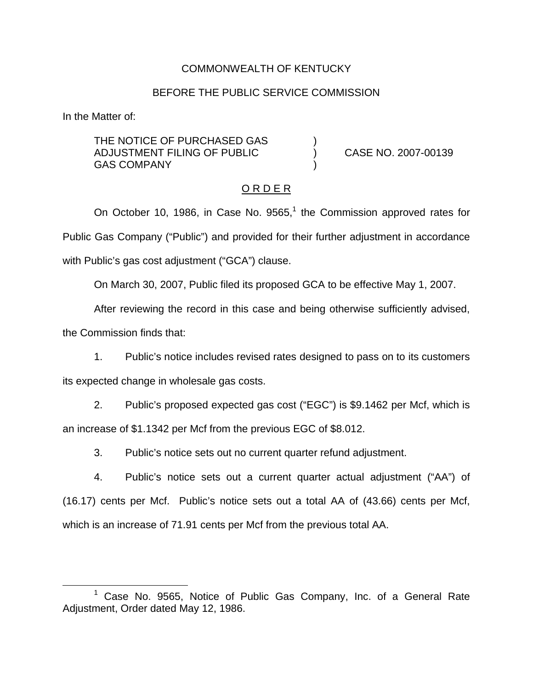## COMMONWEALTH OF KENTUCKY

#### BEFORE THE PUBLIC SERVICE COMMISSION

In the Matter of:

THE NOTICE OF PURCHASED GAS ADJUSTMENT FILING OF PUBLIC ) CASE NO. 2007-00139 **GAS COMPANY** 

#### O R D E R

On October 10, 1986, in Case No.  $9565<sup>1</sup>$ , the Commission approved rates for Public Gas Company ("Public") and provided for their further adjustment in accordance with Public's gas cost adjustment ("GCA") clause.

On March 30, 2007, Public filed its proposed GCA to be effective May 1, 2007.

After reviewing the record in this case and being otherwise sufficiently advised,

the Commission finds that:

1. Public's notice includes revised rates designed to pass on to its customers its expected change in wholesale gas costs.

2. Public's proposed expected gas cost ("EGC") is \$9.1462 per Mcf, which is an increase of \$1.1342 per Mcf from the previous EGC of \$8.012.

3. Public's notice sets out no current quarter refund adjustment.

4. Public's notice sets out a current quarter actual adjustment ("AA") of (16.17) cents per Mcf. Public's notice sets out a total AA of (43.66) cents per Mcf, which is an increase of 71.91 cents per Mcf from the previous total AA.

Case No. 9565, Notice of Public Gas Company, Inc. of a General Rate Adjustment, Order dated May 12, 1986.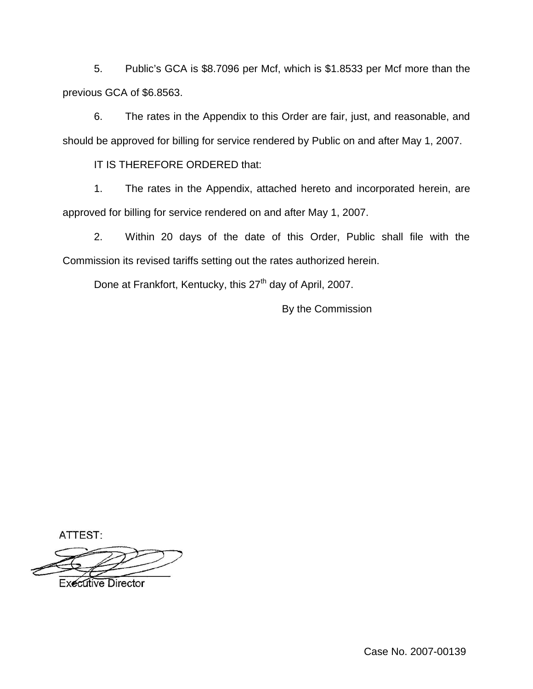5. Public's GCA is \$8.7096 per Mcf, which is \$1.8533 per Mcf more than the previous GCA of \$6.8563.

6. The rates in the Appendix to this Order are fair, just, and reasonable, and should be approved for billing for service rendered by Public on and after May 1, 2007.

IT IS THEREFORE ORDERED that:

1. The rates in the Appendix, attached hereto and incorporated herein, are approved for billing for service rendered on and after May 1, 2007.

2. Within 20 days of the date of this Order, Public shall file with the Commission its revised tariffs setting out the rates authorized herein.

Done at Frankfort, Kentucky, this 27<sup>th</sup> day of April, 2007.

By the Commission

ATTEST:

**Executive Director** 

Case No. 2007-00139